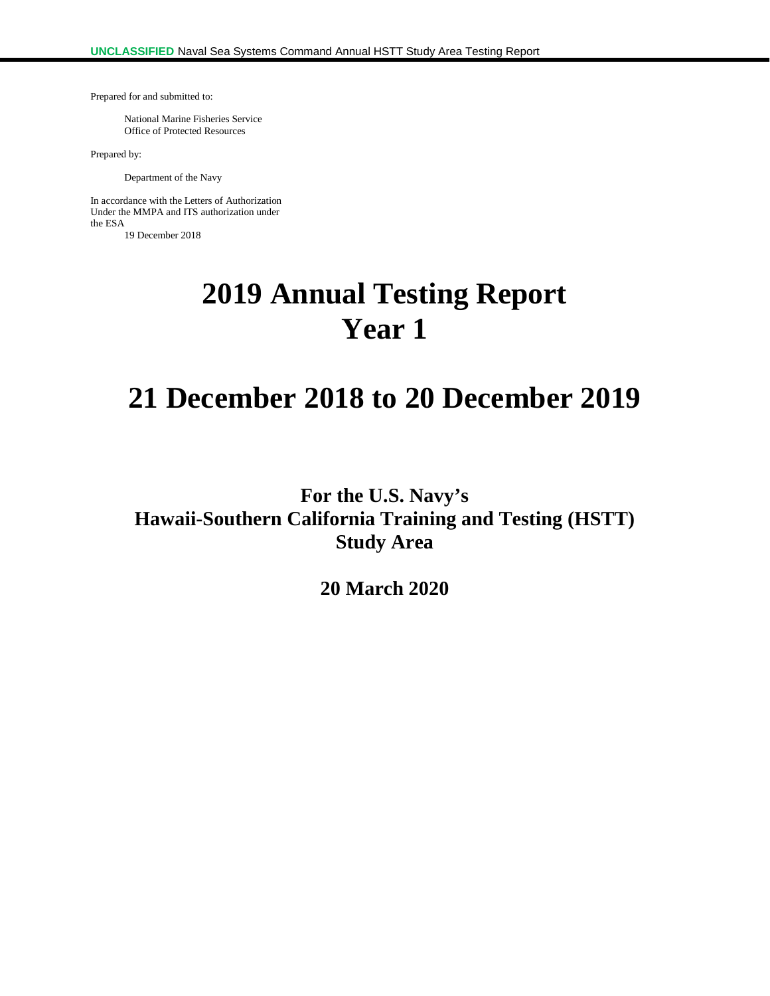Prepared for and submitted to:

National Marine Fisheries Service Office of Protected Resources

Prepared by:

Department of the Navy

In accordance with the Letters of Authorization Under the MMPA and ITS authorization under the ESA

19 December 2018

# **2019 Annual Testing Report Year 1**

# **21 December 2018 to 20 December 2019**

# **For the U.S. Navy's Hawaii-Southern California Training and Testing (HSTT) Study Area**

**20 March 2020**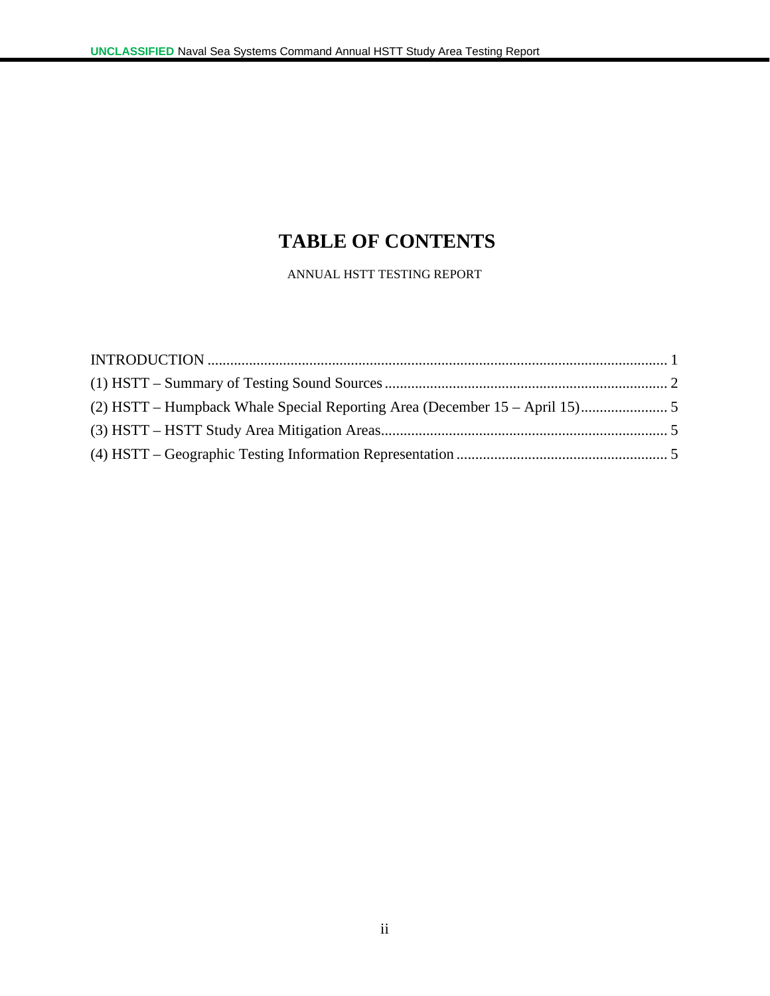# **TABLE OF CONTENTS**

ANNUAL HSTT TESTING REPORT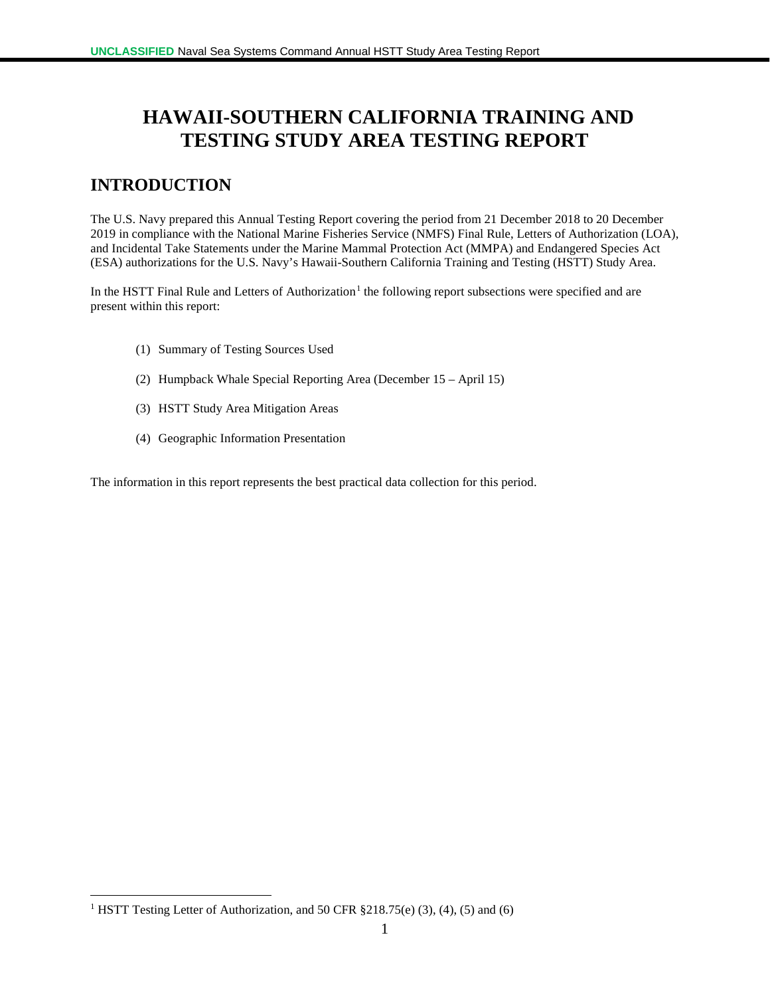# **HAWAII-SOUTHERN CALIFORNIA TRAINING AND TESTING STUDY AREA TESTING REPORT**

## <span id="page-2-0"></span>**INTRODUCTION**

The U.S. Navy prepared this Annual Testing Report covering the period from 21 December 2018 to 20 December 2019 in compliance with the National Marine Fisheries Service (NMFS) Final Rule, Letters of Authorization (LOA), and Incidental Take Statements under the Marine Mammal Protection Act (MMPA) and Endangered Species Act (ESA) authorizations for the U.S. Navy's Hawaii-Southern California Training and Testing (HSTT) Study Area.

In the HSTT Final Rule and Letters of Authorization<sup>[1](#page-2-1)</sup> the following report subsections were specified and are present within this report:

- (1) Summary of Testing Sources Used
- (2) Humpback Whale Special Reporting Area (December 15 April 15)
- (3) HSTT Study Area Mitigation Areas
- (4) Geographic Information Presentation

The information in this report represents the best practical data collection for this period.

<span id="page-2-1"></span><sup>&</sup>lt;sup>1</sup> HSTT Testing Letter of Authorization, and 50 CFR §218.75(e) (3), (4), (5) and (6)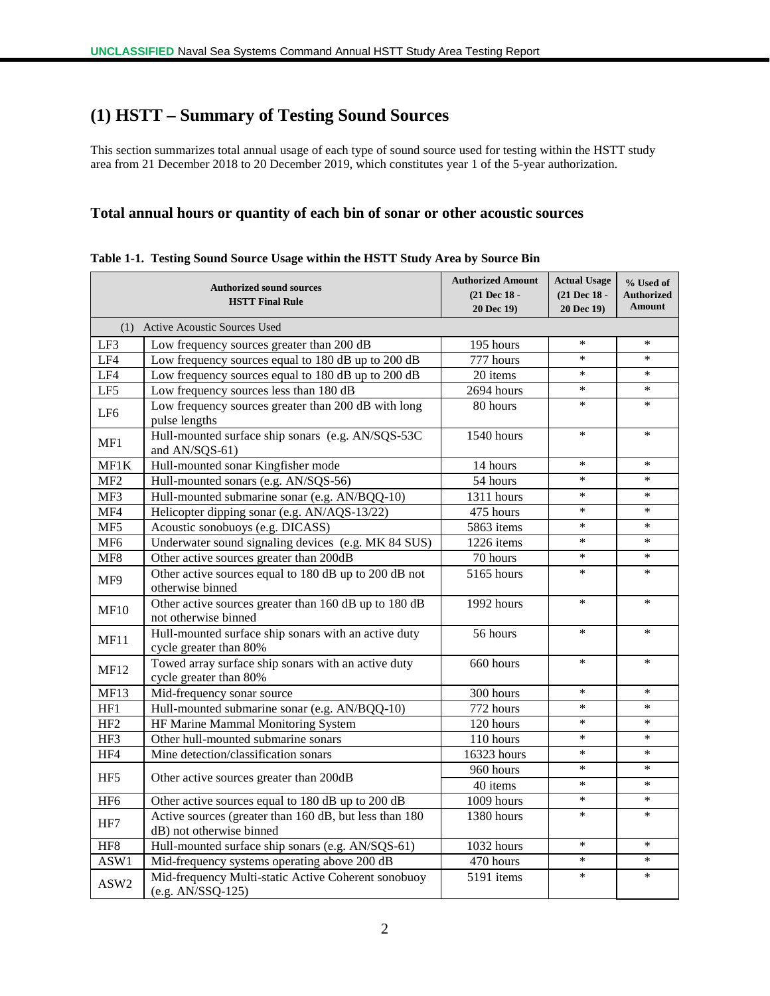## <span id="page-3-0"></span>**(1) HSTT – Summary of Testing Sound Sources**

This section summarizes total annual usage of each type of sound source used for testing within the HSTT study area from 21 December 2018 to 20 December 2019, which constitutes year 1 of the 5-year authorization.

#### **Total annual hours or quantity of each bin of sonar or other acoustic sources**

|                 | <b>Authorized sound sources</b><br><b>HSTT Final Rule</b>                                           | <b>Authorized Amount</b><br>(21 Dec 18 -<br>20 Dec 19) | <b>Actual Usage</b><br>(21 Dec 18 -<br><b>20 Dec 19)</b> | % Used of<br><b>Authorized</b><br><b>Amount</b> |
|-----------------|-----------------------------------------------------------------------------------------------------|--------------------------------------------------------|----------------------------------------------------------|-------------------------------------------------|
|                 | (1) Active Acoustic Sources Used                                                                    |                                                        |                                                          |                                                 |
| LF3             | Low frequency sources greater than 200 dB                                                           | 195 hours<br>777 hours                                 | $\ast$                                                   | $\ast$                                          |
| LF4             | Low frequency sources equal to 180 dB up to 200 dB                                                  | $\ast$                                                 | $\ast$                                                   |                                                 |
| LF4             | Low frequency sources equal to 180 dB up to 200 dB                                                  | 20 items                                               | $\ast$                                                   | $\ast$                                          |
| LF5             | Low frequency sources less than 180 dB                                                              | 2694 hours                                             | $\ast$                                                   | $\ast$                                          |
| LF6             | Low frequency sources greater than 200 dB with long<br>pulse lengths                                | 80 hours                                               | $\ast$                                                   | $\ast$                                          |
| MF1             | Hull-mounted surface ship sonars (e.g. AN/SQS-53C<br>and AN/SQS-61)                                 | 1540 hours                                             | $\ast$                                                   | ∗                                               |
| MF1K            | Hull-mounted sonar Kingfisher mode                                                                  | $\overline{1}4$ hours                                  | $\ast$                                                   | ∗                                               |
| MF <sub>2</sub> | Hull-mounted sonars (e.g. AN/SQS-56)                                                                | 54 hours                                               | $\ast$                                                   | $\ast$                                          |
| MF3             | Hull-mounted submarine sonar (e.g. AN/BQQ-10)                                                       | 1311 hours                                             | $\ast$                                                   | $\ast$                                          |
| MF4             | Helicopter dipping sonar (e.g. AN/AQS-13/22)                                                        | 475 hours                                              | $\ast$                                                   | $\ast$                                          |
| MF <sub>5</sub> | Acoustic sonobuoys (e.g. DICASS)                                                                    | 5863 items                                             | $\ast$                                                   | ∗                                               |
| MF <sub>6</sub> | Underwater sound signaling devices (e.g. MK 84 SUS)                                                 | 1226 items                                             | $\ast$                                                   | $\ast$                                          |
| MF <sub>8</sub> | Other active sources greater than 200dB                                                             | $\ast$                                                 | $\ast$                                                   |                                                 |
| MF9             | 70 hours<br>Other active sources equal to 180 dB up to 200 dB not<br>5165 hours<br>otherwise binned |                                                        |                                                          | $\ast$                                          |
| MF10            | Other active sources greater than 160 dB up to 180 dB<br>not otherwise binned                       | $\ast$                                                 | $\ast$                                                   |                                                 |
| <b>MF11</b>     | Hull-mounted surface ship sonars with an active duty<br>cycle greater than 80%                      | $\ast$                                                 | $\ast$                                                   |                                                 |
| <b>MF12</b>     | Towed array surface ship sonars with an active duty<br>cycle greater than 80%                       | $\ast$                                                 | $\ast$                                                   |                                                 |
| MF13            | Mid-frequency sonar source<br>300 hours                                                             |                                                        |                                                          | $\ast$                                          |
| HF1             | Hull-mounted submarine sonar (e.g. AN/BQQ-10)                                                       | 772 hours                                              | $\ast$                                                   | $\ast$                                          |
| HF <sub>2</sub> | HF Marine Mammal Monitoring System<br>120 hours                                                     |                                                        | $\ast$                                                   | $\ast$                                          |
| HF3             | Other hull-mounted submarine sonars                                                                 | 110 hours                                              | $\ast$                                                   | $\ast$                                          |
| HF4             | Mine detection/classification sonars                                                                | 16323 hours                                            | ∗                                                        | *                                               |
| HF5             |                                                                                                     | 960 hours                                              | $\ast$                                                   | $\ast$                                          |
|                 | Other active sources greater than 200dB                                                             | 40 items                                               | $\ast$                                                   | $\ast$                                          |
| HF <sub>6</sub> | Other active sources equal to 180 dB up to 200 dB                                                   | 1009 hours                                             | $\ast$                                                   | $\ast$                                          |
| HF7             | Active sources (greater than 160 dB, but less than 180<br>dB) not otherwise binned                  |                                                        | $\ast$                                                   | $\ast$                                          |
| HF <sub>8</sub> | Hull-mounted surface ship sonars (e.g. AN/SQS-61)                                                   | 1032 hours                                             | $\ast$                                                   | $\ast$                                          |
| ASW1            | Mid-frequency systems operating above 200 dB                                                        | 470 hours                                              | $\ast$                                                   | $\ast$                                          |
| ASW2            | Mid-frequency Multi-static Active Coherent sonobuoy<br>(e.g. AN/SSQ-125)                            | 5191 items                                             | $\ast$                                                   | $\ast$                                          |

#### **Table 1-1. Testing Sound Source Usage within the HSTT Study Area by Source Bin**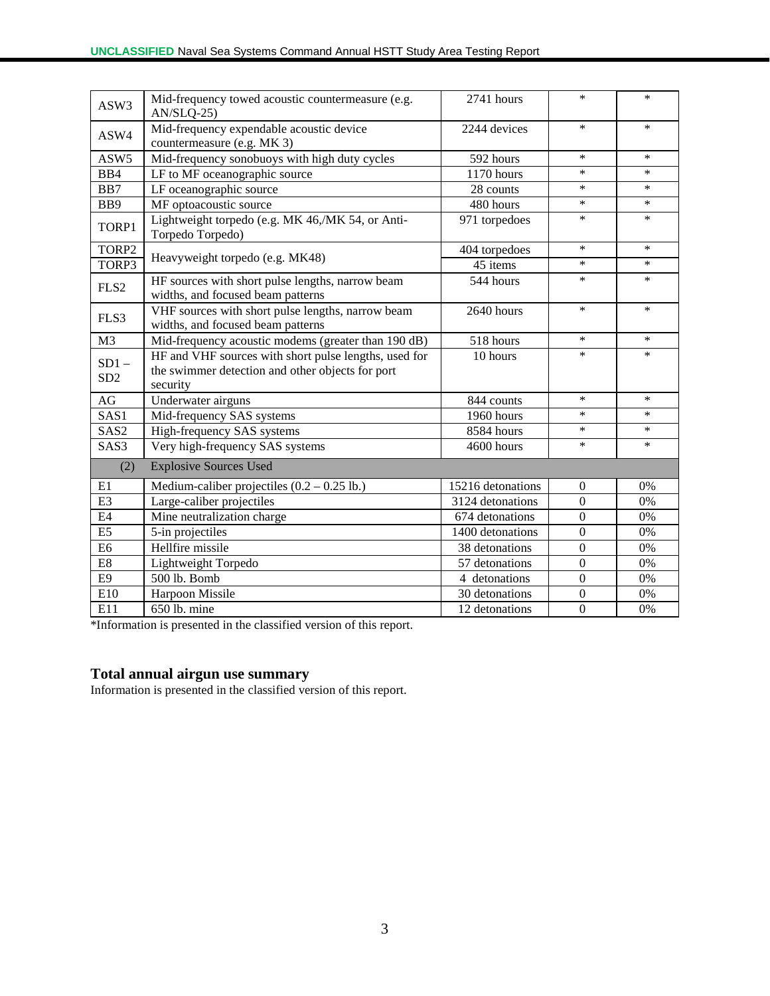| ASW3                       | Mid-frequency towed acoustic countermeasure (e.g.<br>$AN/SLO-25$                                                      | $\ast$            | $\ast$           |        |
|----------------------------|-----------------------------------------------------------------------------------------------------------------------|-------------------|------------------|--------|
| ASW4                       | Mid-frequency expendable acoustic device<br>countermeasure (e.g. MK 3)                                                | $\ast$            | $\ast$           |        |
| ASW5                       | Mid-frequency sonobuoys with high duty cycles<br>592 hours                                                            |                   |                  | $\ast$ |
| BB4                        | LF to MF oceanographic source                                                                                         | 1170 hours        | $\ast$           | $\ast$ |
| BB7                        | LF oceanographic source                                                                                               | 28 counts         | $\ast$           | $\ast$ |
| BB9                        | MF optoacoustic source                                                                                                | $\ast$            | $\ast$           |        |
| TORP1                      | Lightweight torpedo (e.g. MK 46,/MK 54, or Anti-<br>Torpedo Torpedo)                                                  | $\ast$            | $\ast$           |        |
| TORP2                      | Heavyweight torpedo (e.g. MK48)                                                                                       | 404 torpedoes     | $\ast$           | $\ast$ |
| TORP3                      |                                                                                                                       | 45 items          | $\ast$           | *      |
| FLS <sub>2</sub>           | HF sources with short pulse lengths, narrow beam<br>widths, and focused beam patterns                                 | *                 | *                |        |
| FLS3                       | VHF sources with short pulse lengths, narrow beam<br>widths, and focused beam patterns                                | $\ast$            | $\ast$           |        |
| M <sub>3</sub>             | Mid-frequency acoustic modems (greater than 190 dB)<br>518 hours                                                      |                   | $\ast$           | $\ast$ |
| $SD1 -$<br>SD <sub>2</sub> | HF and VHF sources with short pulse lengths, used for<br>the swimmer detection and other objects for port<br>security | 10 hours          | $\ast$           | $\ast$ |
| AG                         | Underwater airguns                                                                                                    | $\ast$            | *                |        |
| SAS1                       | Mid-frequency SAS systems                                                                                             | 1960 hours        | $\ast$           | $\ast$ |
| SAS <sub>2</sub>           | High-frequency SAS systems                                                                                            | 8584 hours        | $\ast$           | $\ast$ |
| SAS3                       | Very high-frequency SAS systems<br>4600 hours                                                                         |                   | $\ast$           | $\ast$ |
| (2)                        | <b>Explosive Sources Used</b>                                                                                         |                   |                  |        |
| E1                         | Medium-caliber projectiles $(0.2 - 0.25 \text{ lb.})$                                                                 | 15216 detonations | $\overline{0}$   | $0\%$  |
| E <sub>3</sub>             | Large-caliber projectiles<br>3124 detonations                                                                         |                   | $\mathbf{0}$     | 0%     |
| E4                         | Mine neutralization charge<br>674 detonations                                                                         |                   | $\mathbf{0}$     | 0%     |
| E <sub>5</sub>             | 5-in projectiles<br>1400 detonations                                                                                  |                   | $\mathbf{0}$     | 0%     |
| E6                         | Hellfire missile                                                                                                      | 38 detonations    | $\mathbf{0}$     | 0%     |
| $\mathop{\hbox{\rm E}} 8$  | Lightweight Torpedo                                                                                                   | 57 detonations    | $\boldsymbol{0}$ | 0%     |
| E <sub>9</sub>             | 500 lb. Bomb                                                                                                          | 4 detonations     | $\mathbf{0}$     | 0%     |
| E10                        | Harpoon Missile<br>30 detonations                                                                                     |                   |                  | 0%     |
| E11                        | 650 lb. mine                                                                                                          | 12 detonations    | $\mathbf{0}$     | 0%     |

\*Information is presented in the classified version of this report.

#### **Total annual airgun use summary**

Information is presented in the classified version of this report.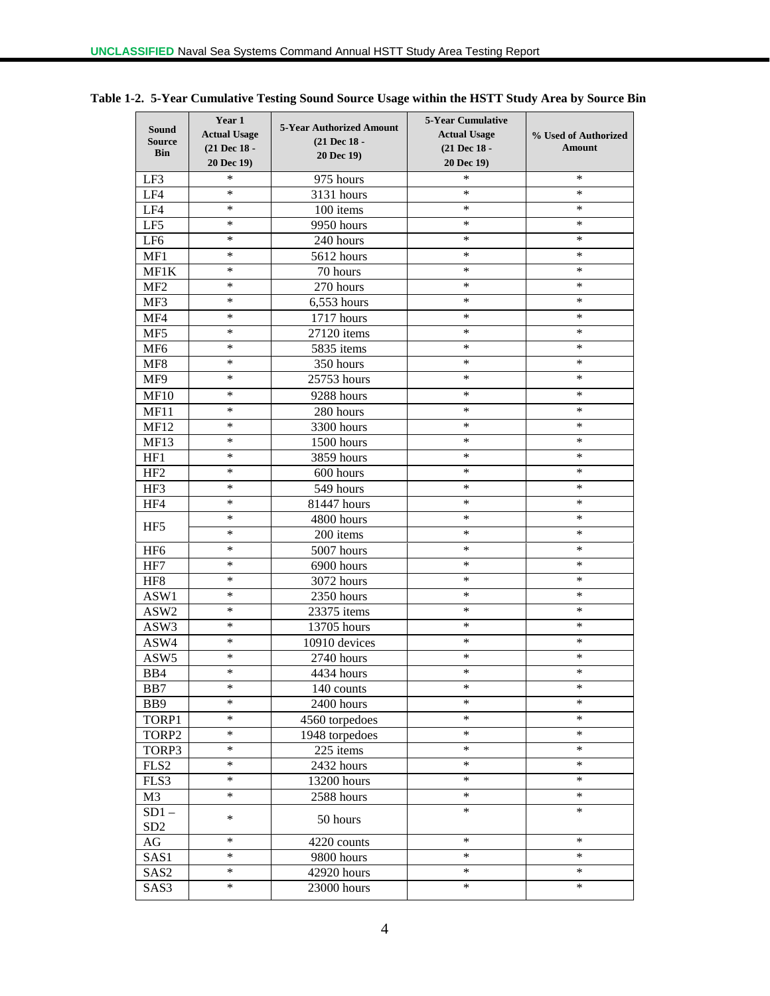| <b>Sound</b><br><b>Source</b><br><b>Bin</b> | Year 1<br><b>Actual Usage</b><br>(21 Dec 18 -<br>20 Dec 19) | <b>5-Year Authorized Amount</b><br>(21 Dec 18 -<br>20 Dec 19) | <b>5-Year Cumulative</b><br><b>Actual Usage</b><br>(21 Dec 18 -<br>20 Dec 19) | % Used of Authorized<br><b>Amount</b> |
|---------------------------------------------|-------------------------------------------------------------|---------------------------------------------------------------|-------------------------------------------------------------------------------|---------------------------------------|
| LF3                                         | ∗                                                           | 975 hours                                                     | *                                                                             | $\ast$                                |
| LF4                                         | *                                                           | 3131 hours                                                    | $\ast$                                                                        | ∗                                     |
| LF4                                         | $\ast$                                                      | 100 items                                                     | $\ast$                                                                        | $\ast$                                |
| LF5                                         | $\ast$                                                      | 9950 hours                                                    | ∗                                                                             | ∗                                     |
| LF <sub>6</sub>                             | $\ast$                                                      | 240 hours                                                     | $\ast$                                                                        | ∗                                     |
| MF1                                         | $\ast$                                                      | 5612 hours                                                    | $\ast$                                                                        | $\ast$                                |
| MF1K                                        | $\ast$                                                      | 70 hours                                                      | $\ast$                                                                        | ∗                                     |
| MF <sub>2</sub>                             | ∗                                                           | 270 hours                                                     | $\ast$                                                                        | $\ast$                                |
| MF3                                         | $\ast$                                                      | 6,553 hours                                                   | $\ast$                                                                        | $\ast$                                |
| MF4                                         | $\ast$                                                      | 1717 hours                                                    | $\ast$                                                                        | $\ast$                                |
| MF5                                         | ∗                                                           | 27120 items                                                   | $\ast$                                                                        | *                                     |
| MF <sub>6</sub>                             | $\ast$                                                      | 5835 items                                                    | $\ast$                                                                        | $\ast$                                |
| MF8                                         | ∗                                                           | 350 hours                                                     | ∗                                                                             | ∗                                     |
| MF9                                         | ∗                                                           | 25753 hours                                                   | $\ast$                                                                        | *                                     |
| <b>MF10</b>                                 | ∗                                                           | 9288 hours                                                    | $\ast$                                                                        | ∗                                     |
| MF11                                        | $\ast$                                                      | 280 hours                                                     | $\ast$                                                                        | ∗                                     |
| <b>MF12</b>                                 | $\ast$                                                      | 3300 hours                                                    | $\ast$                                                                        | ∗                                     |
| MF13                                        | $\ast$                                                      | 1500 hours                                                    | $\ast$                                                                        | $\ast$                                |
| HF1                                         | $\ast$                                                      | 3859 hours                                                    | $\ast$                                                                        | ∗                                     |
| HF <sub>2</sub>                             | $\ast$                                                      | 600 hours                                                     | $\ast$                                                                        | ∗                                     |
| HF3                                         | ∗                                                           | 549 hours                                                     | *                                                                             | ∗                                     |
| HF4                                         | ∗                                                           | 81447 hours                                                   | ∗                                                                             | ∗                                     |
|                                             | $\ast$                                                      | 4800 hours                                                    | $\ast$                                                                        | $\ast$                                |
| HF <sub>5</sub>                             | $\ast$                                                      | 200 items                                                     | $\ast$                                                                        | $\ast$                                |
| HF <sub>6</sub>                             | $\ast$                                                      | 5007 hours                                                    | $\ast$                                                                        | ∗                                     |
| HF7                                         | $\ast$                                                      | 6900 hours                                                    | $\ast$                                                                        | $\ast$                                |
| HF <sub>8</sub>                             | $\ast$                                                      | 3072 hours                                                    | ∗                                                                             | ∗                                     |
| ASW1                                        | $\ast$                                                      | 2350 hours                                                    | $\ast$                                                                        | ∗                                     |
| ASW2                                        | $\ast$                                                      | 23375 items                                                   | $\ast$                                                                        | $\ast$                                |
| ASW3                                        | $\ast$                                                      | 13705 hours                                                   | $\ast$                                                                        | $\ast$                                |
| ASW4                                        | $\ast$                                                      | 10910 devices                                                 | $\ast$                                                                        | *                                     |
| ASW5                                        | $\ast$                                                      | 2740 hours                                                    | $\ast$                                                                        | $\ast$                                |
| BB4                                         | ∗                                                           | 4434 hours                                                    | ∗                                                                             | *                                     |
| B <sub>B</sub> 7                            | ∗                                                           | 140 counts                                                    | ∗                                                                             | ∗                                     |
| B <sub>B9</sub>                             | $\ast$                                                      | 2400 hours                                                    | $\ast$                                                                        | *                                     |
| TORP1                                       | $\ast$                                                      | 4560 torpedoes                                                | $\ast$                                                                        | $\ast$                                |
| TORP2                                       | $\ast$                                                      | 1948 torpedoes                                                | $\ast$                                                                        | $\ast$                                |
| TORP3                                       | $\ast$                                                      | $\overline{225}$ items                                        | $\ast$                                                                        | $\ast$                                |
| FLS <sub>2</sub>                            | $\ast$                                                      | 2432 hours                                                    | $\ast$                                                                        | *                                     |
| FLS3                                        | $\ast$                                                      | 13200 hours                                                   | $\ast$                                                                        | $\ast$                                |
| M <sub>3</sub>                              | $\ast$                                                      | 2588 hours                                                    | $\ast$                                                                        | *                                     |
| $SD1 -$<br>SD <sub>2</sub>                  | $\ast$                                                      | 50 hours                                                      | $\ast$                                                                        | $\ast$                                |
| AG                                          | $\ast$                                                      | 4220 counts                                                   | $\ast$                                                                        | *                                     |
| SAS1                                        | $\ast$                                                      | 9800 hours                                                    | $\ast$                                                                        | $\ast$                                |
| SAS <sub>2</sub>                            | $\ast$                                                      | 42920 hours                                                   | $\ast$                                                                        | *                                     |
| SAS3                                        | $\ast$                                                      | 23000 hours                                                   | $\ast$                                                                        | $\ast$                                |

**Table 1-2. 5-Year Cumulative Testing Sound Source Usage within the HSTT Study Area by Source Bin**